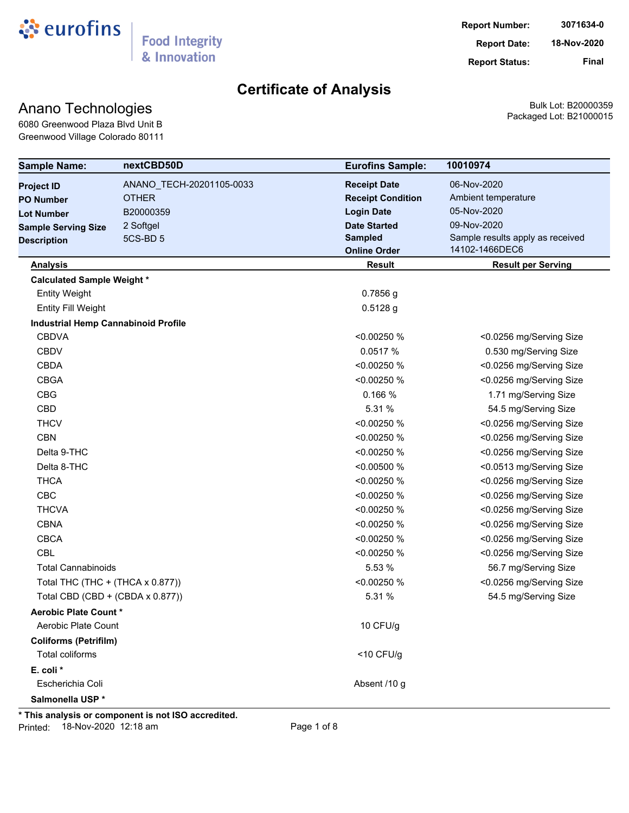

**Report Status: Final**

# **Certificate of Analysis**

## Anano Technologies

Bulk Lot: B20000359 Packaged Lot: B21000015

6080 Greenwood Plaza Blvd Unit B Greenwood Village Colorado 80111

| 06-Nov-2020<br>ANANO_TECH-20201105-0033<br><b>Receipt Date</b><br>Ambient temperature<br><b>OTHER</b><br><b>Receipt Condition</b><br>05-Nov-2020<br><b>Login Date</b><br>B20000359<br>09-Nov-2020<br><b>Date Started</b><br>2 Softgel<br>Sample results apply as received<br><b>Sampled</b><br>5CS-BD <sub>5</sub><br>14102-1466DEC6<br><b>Online Order</b><br><b>Result</b><br><b>Result per Serving</b><br><b>Analysis</b><br><b>Calculated Sample Weight *</b><br><b>Entity Weight</b><br>$0.7856$ g<br>$0.5128$ g<br><b>Entity Fill Weight</b><br><b>Industrial Hemp Cannabinoid Profile</b><br><b>CBDVA</b><br><0.00250 %<br><0.0256 mg/Serving Size<br><b>CBDV</b><br>0.0517 %<br>0.530 mg/Serving Size<br><b>CBDA</b><br><0.00250 %<br><0.0256 mg/Serving Size<br><b>CBGA</b><br>< 0.00250 %<br><0.0256 mg/Serving Size<br><b>CBG</b><br>0.166 %<br>1.71 mg/Serving Size<br><b>CBD</b><br>5.31 %<br>54.5 mg/Serving Size<br><b>THCV</b><br><0.00250 %<br><0.0256 mg/Serving Size<br><b>CBN</b><br><0.00250 %<br><0.0256 mg/Serving Size<br>Delta 9-THC<br><0.00250 %<br><0.0256 mg/Serving Size<br>Delta 8-THC<br>< 0.00500 %<br><0.0513 mg/Serving Size<br><b>THCA</b><br><0.00250 %<br><0.0256 mg/Serving Size<br>CBC<br><0.00250 %<br><0.0256 mg/Serving Size<br><b>THCVA</b><br><0.00250 %<br><0.0256 mg/Serving Size<br><b>CBNA</b><br><0.00250 %<br><0.0256 mg/Serving Size<br><b>CBCA</b><br><0.00250 %<br><0.0256 mg/Serving Size<br><b>CBL</b><br><0.00250 %<br><0.0256 mg/Serving Size<br><b>Total Cannabinoids</b><br>5.53 %<br>56.7 mg/Serving Size<br><0.00250 %<br><0.0256 mg/Serving Size<br>Total THC (THC + (THCA x 0.877))<br>Total CBD (CBD + (CBDA x 0.877))<br>5.31 %<br>54.5 mg/Serving Size<br><b>Aerobic Plate Count *</b><br>Aerobic Plate Count<br>10 CFU/g<br><b>Coliforms (Petrifilm)</b><br>Total coliforms<br>$<$ 10 CFU/g<br>E. coli *<br>Absent /10 g<br>Escherichia Coli<br>Salmonella USP* | <b>Sample Name:</b>        | nextCBD50D | <b>Eurofins Sample:</b> | 10010974 |
|-------------------------------------------------------------------------------------------------------------------------------------------------------------------------------------------------------------------------------------------------------------------------------------------------------------------------------------------------------------------------------------------------------------------------------------------------------------------------------------------------------------------------------------------------------------------------------------------------------------------------------------------------------------------------------------------------------------------------------------------------------------------------------------------------------------------------------------------------------------------------------------------------------------------------------------------------------------------------------------------------------------------------------------------------------------------------------------------------------------------------------------------------------------------------------------------------------------------------------------------------------------------------------------------------------------------------------------------------------------------------------------------------------------------------------------------------------------------------------------------------------------------------------------------------------------------------------------------------------------------------------------------------------------------------------------------------------------------------------------------------------------------------------------------------------------------------------------------------------------------------------------------------------------------------------------|----------------------------|------------|-------------------------|----------|
|                                                                                                                                                                                                                                                                                                                                                                                                                                                                                                                                                                                                                                                                                                                                                                                                                                                                                                                                                                                                                                                                                                                                                                                                                                                                                                                                                                                                                                                                                                                                                                                                                                                                                                                                                                                                                                                                                                                                     | <b>Project ID</b>          |            |                         |          |
|                                                                                                                                                                                                                                                                                                                                                                                                                                                                                                                                                                                                                                                                                                                                                                                                                                                                                                                                                                                                                                                                                                                                                                                                                                                                                                                                                                                                                                                                                                                                                                                                                                                                                                                                                                                                                                                                                                                                     | <b>PO Number</b>           |            |                         |          |
|                                                                                                                                                                                                                                                                                                                                                                                                                                                                                                                                                                                                                                                                                                                                                                                                                                                                                                                                                                                                                                                                                                                                                                                                                                                                                                                                                                                                                                                                                                                                                                                                                                                                                                                                                                                                                                                                                                                                     | <b>Lot Number</b>          |            |                         |          |
|                                                                                                                                                                                                                                                                                                                                                                                                                                                                                                                                                                                                                                                                                                                                                                                                                                                                                                                                                                                                                                                                                                                                                                                                                                                                                                                                                                                                                                                                                                                                                                                                                                                                                                                                                                                                                                                                                                                                     | <b>Sample Serving Size</b> |            |                         |          |
|                                                                                                                                                                                                                                                                                                                                                                                                                                                                                                                                                                                                                                                                                                                                                                                                                                                                                                                                                                                                                                                                                                                                                                                                                                                                                                                                                                                                                                                                                                                                                                                                                                                                                                                                                                                                                                                                                                                                     | <b>Description</b>         |            |                         |          |
|                                                                                                                                                                                                                                                                                                                                                                                                                                                                                                                                                                                                                                                                                                                                                                                                                                                                                                                                                                                                                                                                                                                                                                                                                                                                                                                                                                                                                                                                                                                                                                                                                                                                                                                                                                                                                                                                                                                                     |                            |            |                         |          |
|                                                                                                                                                                                                                                                                                                                                                                                                                                                                                                                                                                                                                                                                                                                                                                                                                                                                                                                                                                                                                                                                                                                                                                                                                                                                                                                                                                                                                                                                                                                                                                                                                                                                                                                                                                                                                                                                                                                                     |                            |            |                         |          |
|                                                                                                                                                                                                                                                                                                                                                                                                                                                                                                                                                                                                                                                                                                                                                                                                                                                                                                                                                                                                                                                                                                                                                                                                                                                                                                                                                                                                                                                                                                                                                                                                                                                                                                                                                                                                                                                                                                                                     |                            |            |                         |          |
|                                                                                                                                                                                                                                                                                                                                                                                                                                                                                                                                                                                                                                                                                                                                                                                                                                                                                                                                                                                                                                                                                                                                                                                                                                                                                                                                                                                                                                                                                                                                                                                                                                                                                                                                                                                                                                                                                                                                     |                            |            |                         |          |
|                                                                                                                                                                                                                                                                                                                                                                                                                                                                                                                                                                                                                                                                                                                                                                                                                                                                                                                                                                                                                                                                                                                                                                                                                                                                                                                                                                                                                                                                                                                                                                                                                                                                                                                                                                                                                                                                                                                                     |                            |            |                         |          |
|                                                                                                                                                                                                                                                                                                                                                                                                                                                                                                                                                                                                                                                                                                                                                                                                                                                                                                                                                                                                                                                                                                                                                                                                                                                                                                                                                                                                                                                                                                                                                                                                                                                                                                                                                                                                                                                                                                                                     |                            |            |                         |          |
|                                                                                                                                                                                                                                                                                                                                                                                                                                                                                                                                                                                                                                                                                                                                                                                                                                                                                                                                                                                                                                                                                                                                                                                                                                                                                                                                                                                                                                                                                                                                                                                                                                                                                                                                                                                                                                                                                                                                     |                            |            |                         |          |
|                                                                                                                                                                                                                                                                                                                                                                                                                                                                                                                                                                                                                                                                                                                                                                                                                                                                                                                                                                                                                                                                                                                                                                                                                                                                                                                                                                                                                                                                                                                                                                                                                                                                                                                                                                                                                                                                                                                                     |                            |            |                         |          |
|                                                                                                                                                                                                                                                                                                                                                                                                                                                                                                                                                                                                                                                                                                                                                                                                                                                                                                                                                                                                                                                                                                                                                                                                                                                                                                                                                                                                                                                                                                                                                                                                                                                                                                                                                                                                                                                                                                                                     |                            |            |                         |          |
|                                                                                                                                                                                                                                                                                                                                                                                                                                                                                                                                                                                                                                                                                                                                                                                                                                                                                                                                                                                                                                                                                                                                                                                                                                                                                                                                                                                                                                                                                                                                                                                                                                                                                                                                                                                                                                                                                                                                     |                            |            |                         |          |
|                                                                                                                                                                                                                                                                                                                                                                                                                                                                                                                                                                                                                                                                                                                                                                                                                                                                                                                                                                                                                                                                                                                                                                                                                                                                                                                                                                                                                                                                                                                                                                                                                                                                                                                                                                                                                                                                                                                                     |                            |            |                         |          |
|                                                                                                                                                                                                                                                                                                                                                                                                                                                                                                                                                                                                                                                                                                                                                                                                                                                                                                                                                                                                                                                                                                                                                                                                                                                                                                                                                                                                                                                                                                                                                                                                                                                                                                                                                                                                                                                                                                                                     |                            |            |                         |          |
|                                                                                                                                                                                                                                                                                                                                                                                                                                                                                                                                                                                                                                                                                                                                                                                                                                                                                                                                                                                                                                                                                                                                                                                                                                                                                                                                                                                                                                                                                                                                                                                                                                                                                                                                                                                                                                                                                                                                     |                            |            |                         |          |
|                                                                                                                                                                                                                                                                                                                                                                                                                                                                                                                                                                                                                                                                                                                                                                                                                                                                                                                                                                                                                                                                                                                                                                                                                                                                                                                                                                                                                                                                                                                                                                                                                                                                                                                                                                                                                                                                                                                                     |                            |            |                         |          |
|                                                                                                                                                                                                                                                                                                                                                                                                                                                                                                                                                                                                                                                                                                                                                                                                                                                                                                                                                                                                                                                                                                                                                                                                                                                                                                                                                                                                                                                                                                                                                                                                                                                                                                                                                                                                                                                                                                                                     |                            |            |                         |          |
|                                                                                                                                                                                                                                                                                                                                                                                                                                                                                                                                                                                                                                                                                                                                                                                                                                                                                                                                                                                                                                                                                                                                                                                                                                                                                                                                                                                                                                                                                                                                                                                                                                                                                                                                                                                                                                                                                                                                     |                            |            |                         |          |
|                                                                                                                                                                                                                                                                                                                                                                                                                                                                                                                                                                                                                                                                                                                                                                                                                                                                                                                                                                                                                                                                                                                                                                                                                                                                                                                                                                                                                                                                                                                                                                                                                                                                                                                                                                                                                                                                                                                                     |                            |            |                         |          |
|                                                                                                                                                                                                                                                                                                                                                                                                                                                                                                                                                                                                                                                                                                                                                                                                                                                                                                                                                                                                                                                                                                                                                                                                                                                                                                                                                                                                                                                                                                                                                                                                                                                                                                                                                                                                                                                                                                                                     |                            |            |                         |          |
|                                                                                                                                                                                                                                                                                                                                                                                                                                                                                                                                                                                                                                                                                                                                                                                                                                                                                                                                                                                                                                                                                                                                                                                                                                                                                                                                                                                                                                                                                                                                                                                                                                                                                                                                                                                                                                                                                                                                     |                            |            |                         |          |
|                                                                                                                                                                                                                                                                                                                                                                                                                                                                                                                                                                                                                                                                                                                                                                                                                                                                                                                                                                                                                                                                                                                                                                                                                                                                                                                                                                                                                                                                                                                                                                                                                                                                                                                                                                                                                                                                                                                                     |                            |            |                         |          |
|                                                                                                                                                                                                                                                                                                                                                                                                                                                                                                                                                                                                                                                                                                                                                                                                                                                                                                                                                                                                                                                                                                                                                                                                                                                                                                                                                                                                                                                                                                                                                                                                                                                                                                                                                                                                                                                                                                                                     |                            |            |                         |          |
|                                                                                                                                                                                                                                                                                                                                                                                                                                                                                                                                                                                                                                                                                                                                                                                                                                                                                                                                                                                                                                                                                                                                                                                                                                                                                                                                                                                                                                                                                                                                                                                                                                                                                                                                                                                                                                                                                                                                     |                            |            |                         |          |
|                                                                                                                                                                                                                                                                                                                                                                                                                                                                                                                                                                                                                                                                                                                                                                                                                                                                                                                                                                                                                                                                                                                                                                                                                                                                                                                                                                                                                                                                                                                                                                                                                                                                                                                                                                                                                                                                                                                                     |                            |            |                         |          |
|                                                                                                                                                                                                                                                                                                                                                                                                                                                                                                                                                                                                                                                                                                                                                                                                                                                                                                                                                                                                                                                                                                                                                                                                                                                                                                                                                                                                                                                                                                                                                                                                                                                                                                                                                                                                                                                                                                                                     |                            |            |                         |          |
|                                                                                                                                                                                                                                                                                                                                                                                                                                                                                                                                                                                                                                                                                                                                                                                                                                                                                                                                                                                                                                                                                                                                                                                                                                                                                                                                                                                                                                                                                                                                                                                                                                                                                                                                                                                                                                                                                                                                     |                            |            |                         |          |
|                                                                                                                                                                                                                                                                                                                                                                                                                                                                                                                                                                                                                                                                                                                                                                                                                                                                                                                                                                                                                                                                                                                                                                                                                                                                                                                                                                                                                                                                                                                                                                                                                                                                                                                                                                                                                                                                                                                                     |                            |            |                         |          |
|                                                                                                                                                                                                                                                                                                                                                                                                                                                                                                                                                                                                                                                                                                                                                                                                                                                                                                                                                                                                                                                                                                                                                                                                                                                                                                                                                                                                                                                                                                                                                                                                                                                                                                                                                                                                                                                                                                                                     |                            |            |                         |          |
|                                                                                                                                                                                                                                                                                                                                                                                                                                                                                                                                                                                                                                                                                                                                                                                                                                                                                                                                                                                                                                                                                                                                                                                                                                                                                                                                                                                                                                                                                                                                                                                                                                                                                                                                                                                                                                                                                                                                     |                            |            |                         |          |
|                                                                                                                                                                                                                                                                                                                                                                                                                                                                                                                                                                                                                                                                                                                                                                                                                                                                                                                                                                                                                                                                                                                                                                                                                                                                                                                                                                                                                                                                                                                                                                                                                                                                                                                                                                                                                                                                                                                                     |                            |            |                         |          |
|                                                                                                                                                                                                                                                                                                                                                                                                                                                                                                                                                                                                                                                                                                                                                                                                                                                                                                                                                                                                                                                                                                                                                                                                                                                                                                                                                                                                                                                                                                                                                                                                                                                                                                                                                                                                                                                                                                                                     |                            |            |                         |          |
|                                                                                                                                                                                                                                                                                                                                                                                                                                                                                                                                                                                                                                                                                                                                                                                                                                                                                                                                                                                                                                                                                                                                                                                                                                                                                                                                                                                                                                                                                                                                                                                                                                                                                                                                                                                                                                                                                                                                     |                            |            |                         |          |
|                                                                                                                                                                                                                                                                                                                                                                                                                                                                                                                                                                                                                                                                                                                                                                                                                                                                                                                                                                                                                                                                                                                                                                                                                                                                                                                                                                                                                                                                                                                                                                                                                                                                                                                                                                                                                                                                                                                                     |                            |            |                         |          |

**\* This analysis or component is not ISO accredited.**

Printed: 18-Nov-2020 12:18 am Page 1 of 8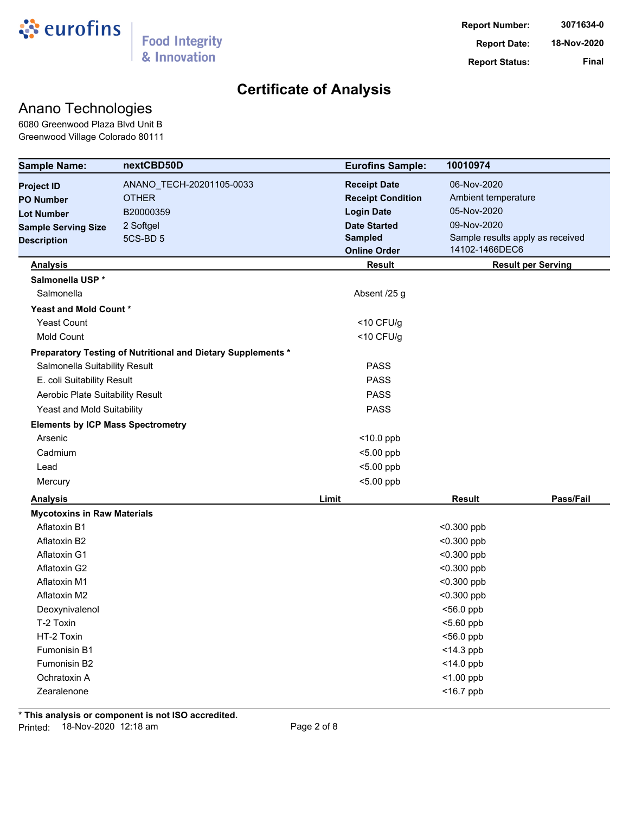

## Anano Technologies

6080 Greenwood Plaza Blvd Unit B Greenwood Village Colorado 80111

| <b>Sample Name:</b>                      | nextCBD50D                                                   | <b>Eurofins Sample:</b>  | 10010974                         |
|------------------------------------------|--------------------------------------------------------------|--------------------------|----------------------------------|
| <b>Project ID</b>                        | ANANO_TECH-20201105-0033                                     | <b>Receipt Date</b>      | 06-Nov-2020                      |
| <b>PO Number</b>                         | <b>OTHER</b>                                                 | <b>Receipt Condition</b> | Ambient temperature              |
| <b>Lot Number</b>                        | B20000359                                                    | <b>Login Date</b>        | 05-Nov-2020                      |
| <b>Sample Serving Size</b>               | 2 Softgel                                                    | <b>Date Started</b>      | 09-Nov-2020                      |
| <b>Description</b>                       | 5CS-BD 5                                                     | <b>Sampled</b>           | Sample results apply as received |
|                                          |                                                              | <b>Online Order</b>      | 14102-1466DEC6                   |
| <b>Analysis</b>                          |                                                              | <b>Result</b>            | <b>Result per Serving</b>        |
| Salmonella USP *                         |                                                              |                          |                                  |
| Salmonella                               |                                                              | Absent /25 g             |                                  |
| Yeast and Mold Count*                    |                                                              |                          |                                  |
| <b>Yeast Count</b>                       |                                                              | $<$ 10 CFU/g             |                                  |
| <b>Mold Count</b>                        |                                                              | $<$ 10 CFU/g             |                                  |
|                                          | Preparatory Testing of Nutritional and Dietary Supplements * |                          |                                  |
| Salmonella Suitability Result            |                                                              | <b>PASS</b>              |                                  |
| E. coli Suitability Result               |                                                              | <b>PASS</b>              |                                  |
| Aerobic Plate Suitability Result         |                                                              | <b>PASS</b>              |                                  |
| Yeast and Mold Suitability               |                                                              | <b>PASS</b>              |                                  |
| <b>Elements by ICP Mass Spectrometry</b> |                                                              |                          |                                  |
| Arsenic                                  |                                                              | $<$ 10.0 ppb             |                                  |
| Cadmium                                  |                                                              | $<$ 5.00 ppb             |                                  |
| Lead                                     |                                                              | $<$ 5.00 ppb             |                                  |
| Mercury                                  |                                                              | $<$ 5.00 ppb             |                                  |
| <b>Analysis</b>                          |                                                              | Limit                    | Pass/Fail<br><b>Result</b>       |
| <b>Mycotoxins in Raw Materials</b>       |                                                              |                          |                                  |
| Aflatoxin B1                             |                                                              |                          | $< 0.300$ ppb                    |
| Aflatoxin B2                             |                                                              |                          | $< 0.300$ ppb                    |
| Aflatoxin G1                             |                                                              |                          | $<$ 0.300 ppb                    |
| Aflatoxin G2                             |                                                              |                          | <0.300 ppb                       |
| Aflatoxin M1                             |                                                              |                          | $< 0.300$ ppb                    |
| Aflatoxin M2                             |                                                              |                          | $<$ 0.300 ppb                    |
| Deoxynivalenol                           |                                                              |                          | $<$ 56.0 ppb                     |
| T-2 Toxin                                |                                                              |                          | $<$ 5.60 ppb                     |
| HT-2 Toxin                               |                                                              |                          | <56.0 ppb                        |
| Fumonisin B1                             |                                                              |                          | <14.3 ppb                        |
| Fumonisin B2                             |                                                              |                          | <14.0 ppb                        |
| Ochratoxin A                             |                                                              |                          | $<$ 1.00 ppb                     |
| Zearalenone                              |                                                              |                          | $<$ 16.7 ppb                     |

**\* This analysis or component is not ISO accredited.** Printed: 18-Nov-2020 12:18 am extending the Page 2 of 8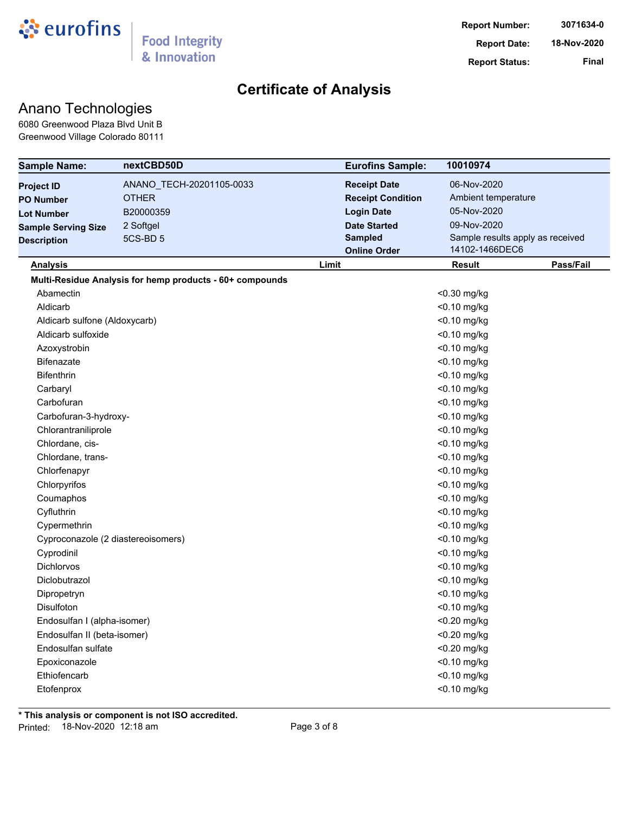

# Anano Technologies

6080 Greenwood Plaza Blvd Unit B Greenwood Village Colorado 80111

| <b>Sample Name:</b>                | nextCBD50D                                               | <b>Eurofins Sample:</b>  | 10010974            |                                  |
|------------------------------------|----------------------------------------------------------|--------------------------|---------------------|----------------------------------|
| <b>Project ID</b>                  | ANANO_TECH-20201105-0033                                 | <b>Receipt Date</b>      | 06-Nov-2020         |                                  |
| <b>PO Number</b>                   | <b>OTHER</b>                                             | <b>Receipt Condition</b> | Ambient temperature |                                  |
| <b>Lot Number</b>                  | B20000359                                                | <b>Login Date</b>        | 05-Nov-2020         |                                  |
| <b>Sample Serving Size</b>         | 2 Softgel                                                | <b>Date Started</b>      | 09-Nov-2020         |                                  |
| <b>Description</b>                 | 5CS-BD <sub>5</sub>                                      | <b>Sampled</b>           |                     | Sample results apply as received |
|                                    |                                                          | <b>Online Order</b>      | 14102-1466DEC6      |                                  |
| <b>Analysis</b>                    |                                                          | Limit                    | Result              | Pass/Fail                        |
|                                    | Multi-Residue Analysis for hemp products - 60+ compounds |                          |                     |                                  |
| Abamectin                          |                                                          |                          | <0.30 mg/kg         |                                  |
| Aldicarb                           |                                                          |                          | <0.10 mg/kg         |                                  |
| Aldicarb sulfone (Aldoxycarb)      |                                                          |                          | <0.10 mg/kg         |                                  |
| Aldicarb sulfoxide                 |                                                          |                          | <0.10 mg/kg         |                                  |
| Azoxystrobin                       |                                                          |                          | <0.10 mg/kg         |                                  |
| <b>Bifenazate</b>                  |                                                          |                          | <0.10 mg/kg         |                                  |
| <b>Bifenthrin</b>                  |                                                          |                          | <0.10 mg/kg         |                                  |
| Carbaryl                           |                                                          |                          | <0.10 mg/kg         |                                  |
| Carbofuran                         |                                                          |                          | <0.10 mg/kg         |                                  |
| Carbofuran-3-hydroxy-              |                                                          |                          | <0.10 mg/kg         |                                  |
| Chlorantraniliprole                |                                                          |                          | <0.10 mg/kg         |                                  |
| Chlordane, cis-                    |                                                          |                          | <0.10 mg/kg         |                                  |
| Chlordane, trans-                  |                                                          |                          | <0.10 mg/kg         |                                  |
| Chlorfenapyr                       |                                                          |                          | <0.10 mg/kg         |                                  |
| Chlorpyrifos                       |                                                          |                          | <0.10 mg/kg         |                                  |
| Coumaphos                          |                                                          |                          | <0.10 mg/kg         |                                  |
| Cyfluthrin                         |                                                          |                          | <0.10 mg/kg         |                                  |
| Cypermethrin                       |                                                          |                          | <0.10 mg/kg         |                                  |
| Cyproconazole (2 diastereoisomers) |                                                          |                          | <0.10 mg/kg         |                                  |
| Cyprodinil                         |                                                          |                          | <0.10 mg/kg         |                                  |
| <b>Dichlorvos</b>                  |                                                          |                          | $<$ 0.10 mg/kg      |                                  |
| Diclobutrazol                      |                                                          |                          | <0.10 mg/kg         |                                  |
| Dipropetryn                        |                                                          |                          | <0.10 mg/kg         |                                  |
| Disulfoton                         |                                                          |                          | <0.10 mg/kg         |                                  |
| Endosulfan I (alpha-isomer)        |                                                          |                          | <0.20 mg/kg         |                                  |
| Endosulfan II (beta-isomer)        |                                                          |                          | <0.20 mg/kg         |                                  |
| Endosulfan sulfate                 |                                                          |                          | <0.20 mg/kg         |                                  |
| Epoxiconazole                      |                                                          |                          | <0.10 mg/kg         |                                  |
| Ethiofencarb                       |                                                          |                          | <0.10 mg/kg         |                                  |
| Etofenprox                         |                                                          |                          | $<$ 0.10 mg/kg      |                                  |
|                                    |                                                          |                          |                     |                                  |

**\* This analysis or component is not ISO accredited.** Printed: 18-Nov-2020 12:18 am Page 3 of 8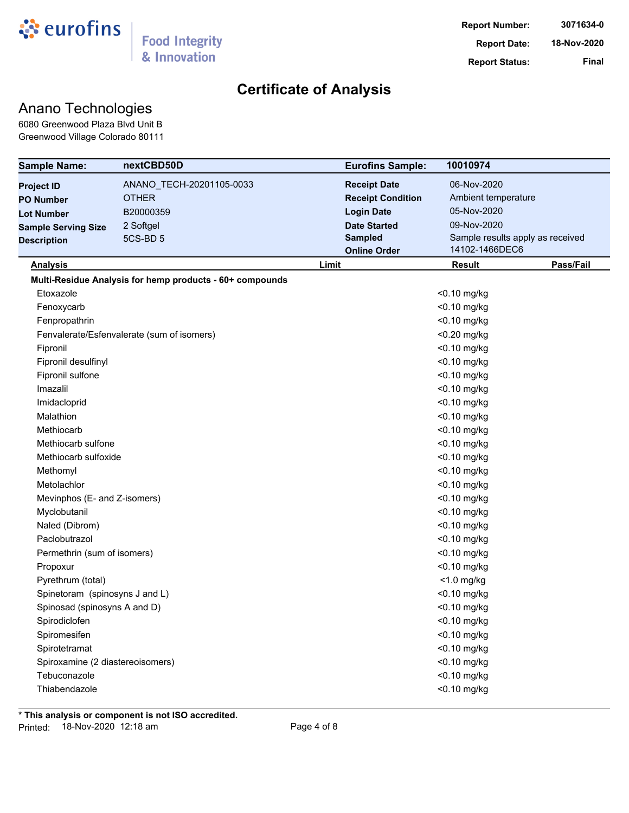

## Anano Technologies

6080 Greenwood Plaza Blvd Unit B Greenwood Village Colorado 80111

| <b>Sample Name:</b>              | nextCBD50D                                               |       | <b>Eurofins Sample:</b>  | 10010974                         |           |
|----------------------------------|----------------------------------------------------------|-------|--------------------------|----------------------------------|-----------|
| <b>Project ID</b>                | ANANO_TECH-20201105-0033                                 |       | <b>Receipt Date</b>      | 06-Nov-2020                      |           |
| <b>PO Number</b>                 | <b>OTHER</b>                                             |       | <b>Receipt Condition</b> | Ambient temperature              |           |
| <b>Lot Number</b>                | B20000359                                                |       | <b>Login Date</b>        | 05-Nov-2020                      |           |
| <b>Sample Serving Size</b>       | 2 Softgel                                                |       | <b>Date Started</b>      | 09-Nov-2020                      |           |
| <b>Description</b>               | 5CS-BD <sub>5</sub>                                      |       | <b>Sampled</b>           | Sample results apply as received |           |
|                                  |                                                          |       | <b>Online Order</b>      | 14102-1466DEC6                   |           |
| <b>Analysis</b>                  |                                                          | Limit |                          | <b>Result</b>                    | Pass/Fail |
|                                  | Multi-Residue Analysis for hemp products - 60+ compounds |       |                          |                                  |           |
| Etoxazole                        |                                                          |       |                          | <0.10 mg/kg                      |           |
| Fenoxycarb                       |                                                          |       |                          | <0.10 mg/kg                      |           |
| Fenpropathrin                    |                                                          |       |                          | <0.10 mg/kg                      |           |
|                                  | Fenvalerate/Esfenvalerate (sum of isomers)               |       |                          | <0.20 mg/kg                      |           |
| Fipronil                         |                                                          |       |                          | <0.10 mg/kg                      |           |
| Fipronil desulfinyl              |                                                          |       |                          | <0.10 mg/kg                      |           |
| Fipronil sulfone                 |                                                          |       |                          | <0.10 mg/kg                      |           |
| Imazalil                         |                                                          |       |                          | <0.10 mg/kg                      |           |
| Imidacloprid                     |                                                          |       |                          | <0.10 mg/kg                      |           |
| Malathion                        |                                                          |       |                          | <0.10 mg/kg                      |           |
| Methiocarb                       |                                                          |       |                          | <0.10 mg/kg                      |           |
| Methiocarb sulfone               |                                                          |       |                          | <0.10 mg/kg                      |           |
| Methiocarb sulfoxide             |                                                          |       |                          | <0.10 mg/kg                      |           |
| Methomyl                         |                                                          |       |                          | <0.10 mg/kg                      |           |
| Metolachlor                      |                                                          |       |                          | <0.10 mg/kg                      |           |
| Mevinphos (E- and Z-isomers)     |                                                          |       |                          | <0.10 mg/kg                      |           |
| Myclobutanil                     |                                                          |       |                          | <0.10 mg/kg                      |           |
| Naled (Dibrom)                   |                                                          |       |                          | <0.10 mg/kg                      |           |
| Paclobutrazol                    |                                                          |       |                          | <0.10 mg/kg                      |           |
| Permethrin (sum of isomers)      |                                                          |       |                          | <0.10 mg/kg                      |           |
| Propoxur                         |                                                          |       |                          | <0.10 mg/kg                      |           |
| Pyrethrum (total)                |                                                          |       |                          | $<$ 1.0 mg/kg                    |           |
| Spinetoram (spinosyns J and L)   |                                                          |       |                          | <0.10 mg/kg                      |           |
| Spinosad (spinosyns A and D)     |                                                          |       |                          | $<$ 0.10 mg/kg                   |           |
| Spirodiclofen                    |                                                          |       |                          | <0.10 mg/kg                      |           |
| Spiromesifen                     |                                                          |       |                          | <0.10 mg/kg                      |           |
| Spirotetramat                    |                                                          |       |                          | <0.10 mg/kg                      |           |
| Spiroxamine (2 diastereoisomers) |                                                          |       |                          | <0.10 mg/kg                      |           |
| Tebuconazole                     |                                                          |       |                          | <0.10 mg/kg                      |           |
| Thiabendazole                    |                                                          |       |                          | <0.10 mg/kg                      |           |

**\* This analysis or component is not ISO accredited.** Printed: 18-Nov-2020 12:18 am Page 4 of 8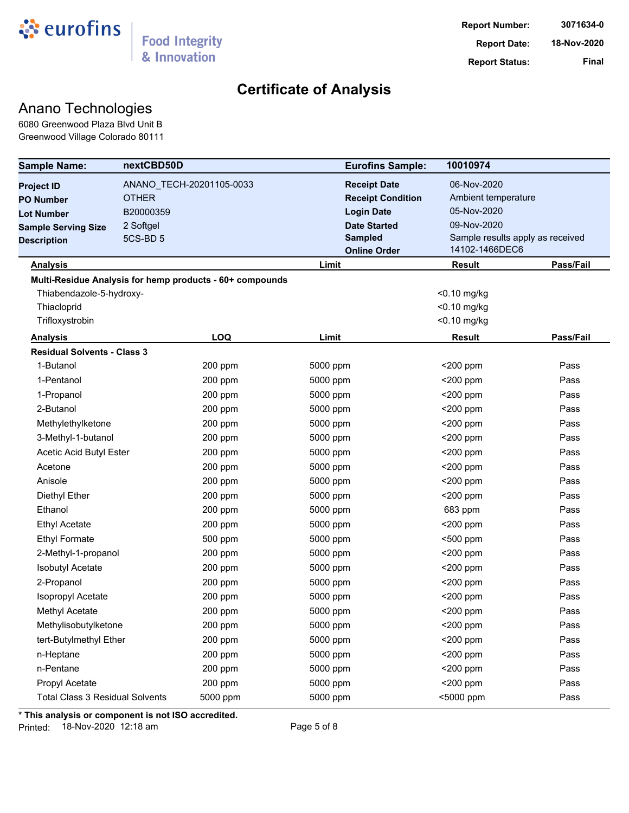

# Anano Technologies

6080 Greenwood Plaza Blvd Unit B Greenwood Village Colorado 80111

| <b>Sample Name:</b>                    | nextCBD50D   |                                                          | <b>Eurofins Sample:</b>  | 10010974      |                                  |
|----------------------------------------|--------------|----------------------------------------------------------|--------------------------|---------------|----------------------------------|
| <b>Project ID</b>                      |              | ANANO_TECH-20201105-0033                                 | <b>Receipt Date</b>      | 06-Nov-2020   |                                  |
| <b>PO Number</b>                       | <b>OTHER</b> |                                                          | <b>Receipt Condition</b> |               | Ambient temperature              |
| <b>Lot Number</b>                      | B20000359    |                                                          | <b>Login Date</b>        | 05-Nov-2020   |                                  |
| <b>Sample Serving Size</b>             | 2 Softgel    |                                                          | <b>Date Started</b>      | 09-Nov-2020   |                                  |
| <b>Description</b>                     | 5CS-BD 5     |                                                          | <b>Sampled</b>           |               | Sample results apply as received |
|                                        |              |                                                          | <b>Online Order</b>      |               | 14102-1466DEC6                   |
| <b>Analysis</b>                        |              |                                                          | Limit                    | <b>Result</b> | Pass/Fail                        |
|                                        |              | Multi-Residue Analysis for hemp products - 60+ compounds |                          |               |                                  |
| Thiabendazole-5-hydroxy-               |              |                                                          |                          | <0.10 mg/kg   |                                  |
| Thiacloprid                            |              |                                                          |                          | <0.10 mg/kg   |                                  |
| Trifloxystrobin                        |              |                                                          |                          | <0.10 mg/kg   |                                  |
| <b>Analysis</b>                        |              | LOQ                                                      | Limit                    | <b>Result</b> | Pass/Fail                        |
| <b>Residual Solvents - Class 3</b>     |              |                                                          |                          |               |                                  |
| 1-Butanol                              |              | 200 ppm                                                  | 5000 ppm                 | $<$ 200 ppm   | Pass                             |
| 1-Pentanol                             |              | 200 ppm                                                  | 5000 ppm                 | $<$ 200 ppm   | Pass                             |
| 1-Propanol                             |              | 200 ppm                                                  | 5000 ppm                 | $<$ 200 ppm   | Pass                             |
| 2-Butanol                              |              | 200 ppm                                                  | 5000 ppm                 | <200 ppm      | Pass                             |
| Methylethylketone                      |              | 200 ppm                                                  | 5000 ppm                 | $<$ 200 ppm   | Pass                             |
| 3-Methyl-1-butanol                     |              | 200 ppm                                                  | 5000 ppm                 | <200 ppm      | Pass                             |
| Acetic Acid Butyl Ester                |              | 200 ppm                                                  | 5000 ppm                 | <200 ppm      | Pass                             |
| Acetone                                |              | 200 ppm                                                  | 5000 ppm                 | $<$ 200 ppm   | Pass                             |
| Anisole                                |              | 200 ppm                                                  | 5000 ppm                 | $<$ 200 ppm   | Pass                             |
| Diethyl Ether                          |              | 200 ppm                                                  | 5000 ppm                 | <200 ppm      | Pass                             |
| Ethanol                                |              | 200 ppm                                                  | 5000 ppm                 | 683 ppm       | Pass                             |
| <b>Ethyl Acetate</b>                   |              | 200 ppm                                                  | 5000 ppm                 | $<$ 200 ppm   | Pass                             |
| <b>Ethyl Formate</b>                   |              | 500 ppm                                                  | 5000 ppm                 | <500 ppm      | Pass                             |
| 2-Methyl-1-propanol                    |              | 200 ppm                                                  | 5000 ppm                 | $<$ 200 ppm   | Pass                             |
| <b>Isobutyl Acetate</b>                |              | 200 ppm                                                  | 5000 ppm                 | $<$ 200 ppm   | Pass                             |
| 2-Propanol                             |              | 200 ppm                                                  | 5000 ppm                 | <200 ppm      | Pass                             |
| Isopropyl Acetate                      |              | 200 ppm                                                  | 5000 ppm                 | $<$ 200 ppm   | Pass                             |
| Methyl Acetate                         |              | 200 ppm                                                  | 5000 ppm                 | <200 ppm      | Pass                             |
| Methylisobutylketone                   |              | 200 ppm                                                  | 5000 ppm                 | $<$ 200 ppm   | Pass                             |
| tert-Butylmethyl Ether                 |              | 200 ppm                                                  | 5000 ppm                 | <200 ppm      | Pass                             |
| n-Heptane                              |              | 200 ppm                                                  | 5000 ppm                 | <200 ppm      | Pass                             |
| n-Pentane                              |              | 200 ppm                                                  | 5000 ppm                 | <200 ppm      | Pass                             |
| Propyl Acetate                         |              | 200 ppm                                                  | 5000 ppm                 | <200 ppm      | Pass                             |
| <b>Total Class 3 Residual Solvents</b> |              | 5000 ppm                                                 | 5000 ppm                 | <5000 ppm     | Pass                             |

**\* This analysis or component is not ISO accredited.**

Printed: 18-Nov-2020 12:18 am Page 5 of 8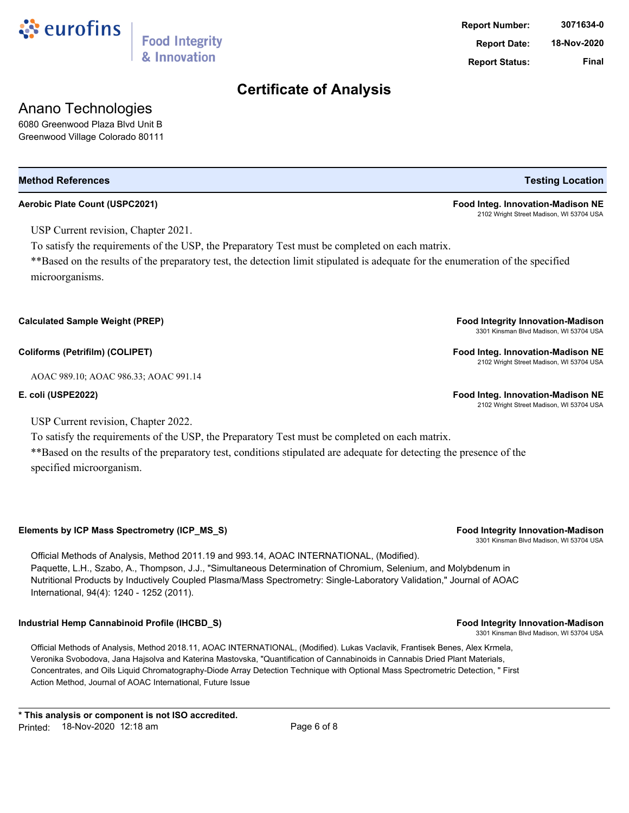

& Innovation

USP Current revision, Chapter 2021.

To satisfy the requirements of the USP, the Preparatory Test must be completed on each matrix.

\*\*Based on the results of the preparatory test, the detection limit stipulated is adequate for the enumeration of the specified microorganisms.

**Calculated Sample Weight (PREP) Food Integrity Innovation-Madison**

**Coliforms (Petrifilm) (COLIPET) Food Integ. Innovation-Madison NE**

AOAC 989.10; AOAC 986.33; AOAC 991.14

**E. coli (USPE2022) Food Integ. Innovation-Madison NE**

USP Current revision, Chapter 2022.

To satisfy the requirements of the USP, the Preparatory Test must be completed on each matrix. \*\*Based on the results of the preparatory test, conditions stipulated are adequate for detecting the presence of the specified microorganism.

**Elements by ICP Mass Spectrometry (ICP\_MS\_S) Food Integrity Innovation-Madison**

Official Methods of Analysis, Method 2011.19 and 993.14, AOAC INTERNATIONAL, (Modified). Paquette, L.H., Szabo, A., Thompson, J.J., "Simultaneous Determination of Chromium, Selenium, and Molybdenum in Nutritional Products by Inductively Coupled Plasma/Mass Spectrometry: Single-Laboratory Validation," Journal of AOAC International, 94(4): 1240 - 1252 (2011).

## **Industrial Hemp Cannabinoid Profile (IHCBD\_S) Food Integrity Innovation-Madison**

Official Methods of Analysis, Method 2018.11, AOAC INTERNATIONAL, (Modified). Lukas Vaclavik, Frantisek Benes, Alex Krmela, Veronika Svobodova, Jana Hajsolva and Katerina Mastovska, "Quantification of Cannabinoids in Cannabis Dried Plant Materials, Concentrates, and Oils Liquid Chromatography-Diode Array Detection Technique with Optional Mass Spectrometric Detection, " First Action Method, Journal of AOAC International, Future Issue

**Report Status: Final**

**Report Number: 3071634-0**

**Method References Testing Location**

**Aerobic Plate Count (USPC2021) Food Integ. Innovation-Madison NE** 2102 Wright Street Madison, WI 53704 USA

3301 Kinsman Blvd Madison, WI 53704 USA

2102 Wright Street Madison, WI 53704 USA

2102 Wright Street Madison, WI 53704 USA

3301 Kinsman Blvd Madison, WI 53704 USA

3301 Kinsman Blvd Madison, WI 53704 USA

**Report Date: 18-Nov-2020**



Anano Technologies 6080 Greenwood Plaza Blvd Unit B Greenwood Village Colorado 80111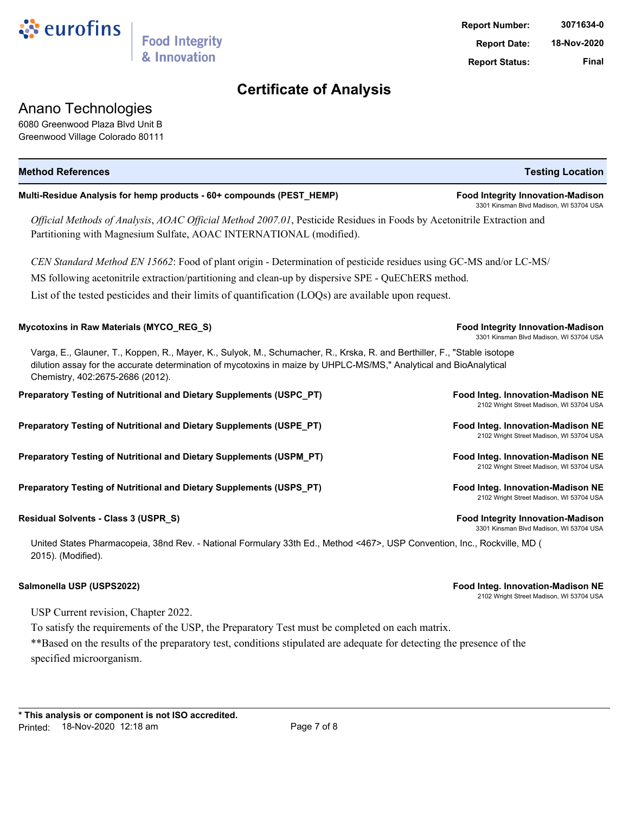

## Anano Technologies

6080 Greenwood Plaza Blvd Unit B Greenwood Village Colorado 80111

| <b>Method References</b>                                                                                                                                                                                                                                                           | <b>Testing Location</b>                                                             |
|------------------------------------------------------------------------------------------------------------------------------------------------------------------------------------------------------------------------------------------------------------------------------------|-------------------------------------------------------------------------------------|
| Multi-Residue Analysis for hemp products - 60+ compounds (PEST_HEMP)                                                                                                                                                                                                               | <b>Food Integrity Innovation-Madison</b><br>3301 Kinsman Blvd Madison, WI 53704 USA |
| Official Methods of Analysis, AOAC Official Method 2007.01, Pesticide Residues in Foods by Acetonitrile Extraction and<br>Partitioning with Magnesium Sulfate, AOAC INTERNATIONAL (modified).                                                                                      |                                                                                     |
| CEN Standard Method EN 15662: Food of plant origin - Determination of pesticide residues using GC-MS and/or LC-MS/                                                                                                                                                                 |                                                                                     |
| MS following acetonitrile extraction/partitioning and clean-up by dispersive SPE - QuEChERS method.                                                                                                                                                                                |                                                                                     |
| List of the tested pesticides and their limits of quantification (LOQs) are available upon request.                                                                                                                                                                                |                                                                                     |
| Mycotoxins in Raw Materials (MYCO_REG_S)                                                                                                                                                                                                                                           | <b>Food Integrity Innovation-Madison</b><br>3301 Kinsman Blvd Madison, WI 53704 USA |
| Varga, E., Glauner, T., Koppen, R., Mayer, K., Sulyok, M., Schumacher, R., Krska, R. and Berthiller, F., "Stable isotope<br>dilution assay for the accurate determination of mycotoxins in maize by UHPLC-MS/MS," Analytical and BioAnalytical<br>Chemistry, 402:2675-2686 (2012). |                                                                                     |
| Preparatory Testing of Nutritional and Dietary Supplements (USPC_PT)                                                                                                                                                                                                               | Food Integ. Innovation-Madison NE<br>2102 Wright Street Madison, WI 53704 USA       |
| Preparatory Testing of Nutritional and Dietary Supplements (USPE_PT)                                                                                                                                                                                                               | Food Integ. Innovation-Madison NE<br>2102 Wright Street Madison, WI 53704 USA       |
| Preparatory Testing of Nutritional and Dietary Supplements (USPM_PT)                                                                                                                                                                                                               | Food Integ. Innovation-Madison NE<br>2102 Wright Street Madison, WI 53704 USA       |
| Preparatory Testing of Nutritional and Dietary Supplements (USPS_PT)                                                                                                                                                                                                               | Food Integ. Innovation-Madison NE<br>2102 Wright Street Madison, WI 53704 USA       |
| Residual Solvents - Class 3 (USPR_S)                                                                                                                                                                                                                                               | <b>Food Integrity Innovation-Madison</b><br>3301 Kinsman Blvd Madison, WI 53704 USA |
| United States Pharmacopeia, 38nd Rev. - National Formulary 33th Ed., Method <467>, USP Convention, Inc., Rockville, MD (                                                                                                                                                           |                                                                                     |

2015). (Modified).

**Salmonella USP (USPS2022) Food Integ. Innovation-Madison NE**

2102 Wright Street Madison, WI 53704 USA

USP Current revision, Chapter 2022.

To satisfy the requirements of the USP, the Preparatory Test must be completed on each matrix.

\*\*Based on the results of the preparatory test, conditions stipulated are adequate for detecting the presence of the specified microorganism.